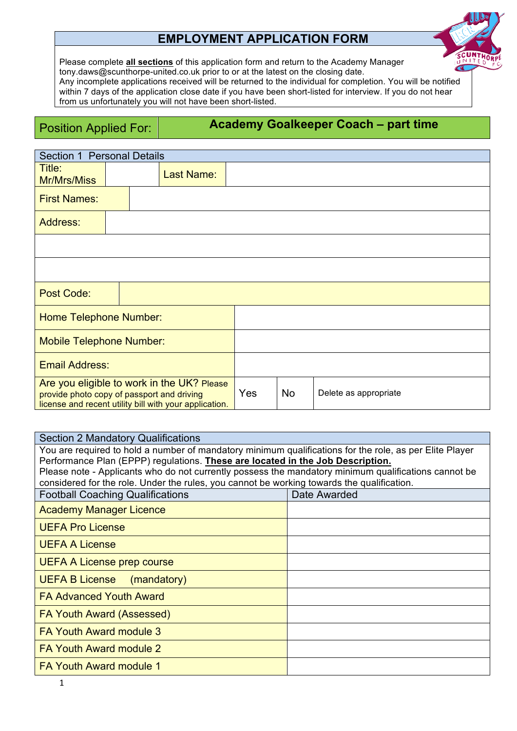# **EMPLOYMENT APPLICATION FORM**



Please complete **all sections** of this application form and return to the Academy Manager tony.daws@scunthorpe-united.co.uk prior to or at the latest on the closing date. Any incomplete applications received will be returned to the individual for completion. You will be notified within 7 days of the application close date if you have been short-listed for interview. If you do not hear from us unfortunately you will not have been short-listed.

Position Applied For: **Academy Goalkeeper Coach – part time**

| Section 1 Personal Details                                                                                                                         |  |                   |           |                       |  |
|----------------------------------------------------------------------------------------------------------------------------------------------------|--|-------------------|-----------|-----------------------|--|
| Title:<br><b>Mr/Mrs/Miss</b>                                                                                                                       |  | <b>Last Name:</b> |           |                       |  |
| <b>First Names:</b>                                                                                                                                |  |                   |           |                       |  |
| <b>Address:</b>                                                                                                                                    |  |                   |           |                       |  |
|                                                                                                                                                    |  |                   |           |                       |  |
|                                                                                                                                                    |  |                   |           |                       |  |
| Post Code:                                                                                                                                         |  |                   |           |                       |  |
| <b>Home Telephone Number:</b>                                                                                                                      |  |                   |           |                       |  |
| <b>Mobile Telephone Number:</b>                                                                                                                    |  |                   |           |                       |  |
| <b>Email Address:</b>                                                                                                                              |  |                   |           |                       |  |
| Are you eligible to work in the UK? Please<br>provide photo copy of passport and driving<br>license and recent utility bill with your application. |  | Yes               | <b>No</b> | Delete as appropriate |  |

| <b>Section 2 Mandatory Qualifications</b>                                                               |              |  |  |  |
|---------------------------------------------------------------------------------------------------------|--------------|--|--|--|
| You are required to hold a number of mandatory minimum qualifications for the role, as per Elite Player |              |  |  |  |
| Performance Plan (EPPP) regulations. These are located in the Job Description.                          |              |  |  |  |
| Please note - Applicants who do not currently possess the mandatory minimum qualifications cannot be    |              |  |  |  |
| considered for the role. Under the rules, you cannot be working towards the qualification.              |              |  |  |  |
| <b>Football Coaching Qualifications</b>                                                                 | Date Awarded |  |  |  |
| <b>Academy Manager Licence</b>                                                                          |              |  |  |  |
| <b>UEFA Pro License</b>                                                                                 |              |  |  |  |
| <b>UEFA A License</b>                                                                                   |              |  |  |  |
| UEFA A License prep course                                                                              |              |  |  |  |
| <b>UEFA B License</b><br>(mandatory)                                                                    |              |  |  |  |
| <b>FA Advanced Youth Award</b>                                                                          |              |  |  |  |
| <b>FA Youth Award (Assessed)</b>                                                                        |              |  |  |  |
| <b>FA Youth Award module 3</b>                                                                          |              |  |  |  |
| <b>FA Youth Award module 2</b>                                                                          |              |  |  |  |
| <b>FA Youth Award module 1</b>                                                                          |              |  |  |  |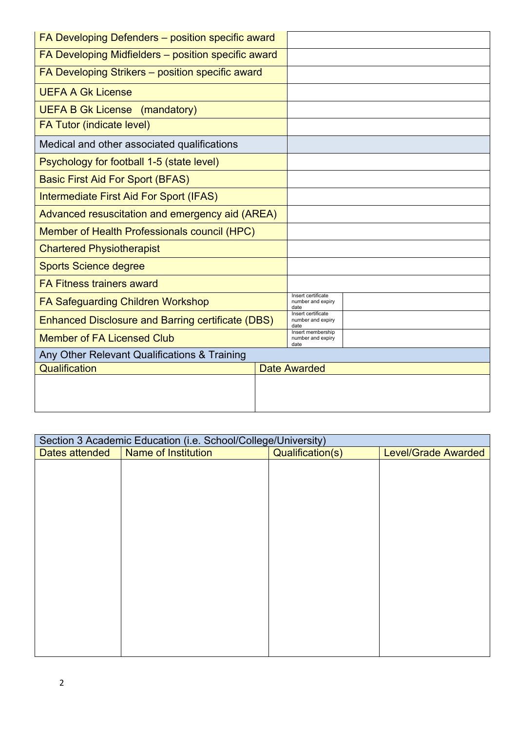| FA Developing Defenders - position specific award        |                                                |                                                 |
|----------------------------------------------------------|------------------------------------------------|-------------------------------------------------|
| FA Developing Midfielders - position specific award      |                                                |                                                 |
| FA Developing Strikers - position specific award         |                                                |                                                 |
| <b>UEFA A Gk License</b>                                 |                                                |                                                 |
| <b>UEFA B Gk License (mandatory)</b>                     |                                                |                                                 |
| <b>FA Tutor (indicate level)</b>                         |                                                |                                                 |
| Medical and other associated qualifications              |                                                |                                                 |
| Psychology for football 1-5 (state level)                |                                                |                                                 |
| <b>Basic First Aid For Sport (BFAS)</b>                  |                                                |                                                 |
| Intermediate First Aid For Sport (IFAS)                  |                                                |                                                 |
| Advanced resuscitation and emergency aid (AREA)          |                                                |                                                 |
| Member of Health Professionals council (HPC)             |                                                |                                                 |
| <b>Chartered Physiotherapist</b>                         |                                                |                                                 |
| <b>Sports Science degree</b>                             |                                                |                                                 |
| <b>FA Fitness trainers award</b>                         |                                                |                                                 |
| <b>FA Safeguarding Children Workshop</b>                 |                                                | Insert certificate<br>number and expiry<br>date |
| <b>Enhanced Disclosure and Barring certificate (DBS)</b> |                                                | Insert certificate<br>number and expiry<br>date |
| <b>Member of FA Licensed Club</b>                        | Insert membership<br>number and expiry<br>date |                                                 |
| Any Other Relevant Qualifications & Training             |                                                |                                                 |
| Qualification                                            |                                                | <b>Date Awarded</b>                             |
|                                                          |                                                |                                                 |
|                                                          |                                                |                                                 |

| Section 3 Academic Education (i.e. School/College/University) |                            |                  |                            |  |
|---------------------------------------------------------------|----------------------------|------------------|----------------------------|--|
| Dates attended                                                | <b>Name of Institution</b> | Qualification(s) | <b>Level/Grade Awarded</b> |  |
|                                                               |                            |                  |                            |  |
|                                                               |                            |                  |                            |  |
|                                                               |                            |                  |                            |  |
|                                                               |                            |                  |                            |  |
|                                                               |                            |                  |                            |  |
|                                                               |                            |                  |                            |  |
|                                                               |                            |                  |                            |  |
|                                                               |                            |                  |                            |  |
|                                                               |                            |                  |                            |  |
|                                                               |                            |                  |                            |  |
|                                                               |                            |                  |                            |  |
|                                                               |                            |                  |                            |  |
|                                                               |                            |                  |                            |  |
|                                                               |                            |                  |                            |  |
|                                                               |                            |                  |                            |  |
|                                                               |                            |                  |                            |  |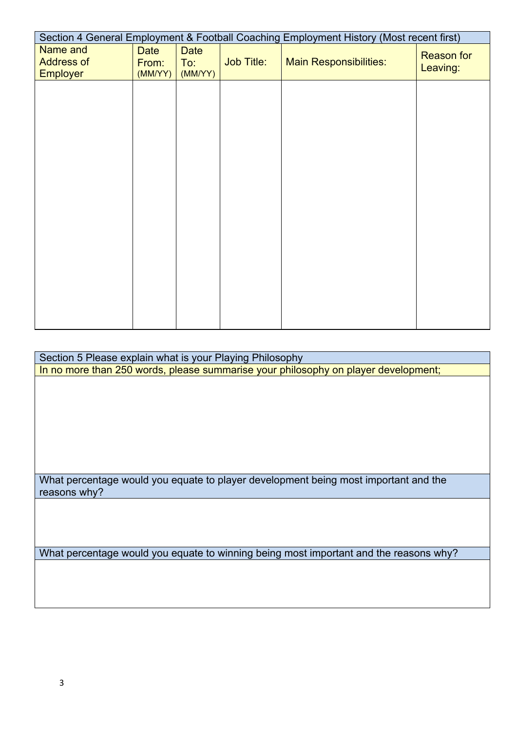| Section 4 General Employment & Football Coaching Employment History (Most recent first) |               |                    |                   |                               |                   |
|-----------------------------------------------------------------------------------------|---------------|--------------------|-------------------|-------------------------------|-------------------|
| Name and<br><b>Address of</b>                                                           | Date<br>From: | <b>Date</b><br>To: | <b>Job Title:</b> | <b>Main Responsibilities:</b> | <b>Reason for</b> |
| <b>Employer</b>                                                                         | (MM/YY)       | (MMYY)             |                   |                               | Leaving:          |
|                                                                                         |               |                    |                   |                               |                   |
|                                                                                         |               |                    |                   |                               |                   |
|                                                                                         |               |                    |                   |                               |                   |
|                                                                                         |               |                    |                   |                               |                   |
|                                                                                         |               |                    |                   |                               |                   |
|                                                                                         |               |                    |                   |                               |                   |
|                                                                                         |               |                    |                   |                               |                   |
|                                                                                         |               |                    |                   |                               |                   |
|                                                                                         |               |                    |                   |                               |                   |
|                                                                                         |               |                    |                   |                               |                   |
|                                                                                         |               |                    |                   |                               |                   |
|                                                                                         |               |                    |                   |                               |                   |
|                                                                                         |               |                    |                   |                               |                   |
|                                                                                         |               |                    |                   |                               |                   |
|                                                                                         |               |                    |                   |                               |                   |
|                                                                                         |               |                    |                   |                               |                   |
|                                                                                         |               |                    |                   |                               |                   |
|                                                                                         |               |                    |                   |                               |                   |

Section 5 Please explain what is your Playing Philosophy In no more than 250 words, please summarise your philosophy on player development;

What percentage would you equate to player development being most important and the reasons why?

What percentage would you equate to winning being most important and the reasons why?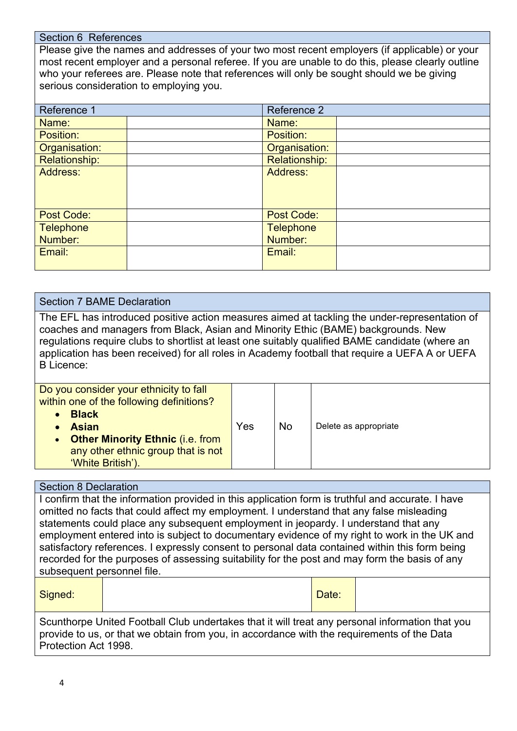#### Section 6 References

Please give the names and addresses of your two most recent employers (if applicable) or your most recent employer and a personal referee. If you are unable to do this, please clearly outline who your referees are. Please note that references will only be sought should we be giving serious consideration to employing you.

| Reference 1      | Reference 2          |  |
|------------------|----------------------|--|
| Name:            | Name:                |  |
| Position:        | Position:            |  |
| Organisation:    | Organisation:        |  |
| Relationship:    | <b>Relationship:</b> |  |
| Address:         | <b>Address:</b>      |  |
| Post Code:       | <b>Post Code:</b>    |  |
| <b>Telephone</b> | <b>Telephone</b>     |  |
| Number:          | Number:              |  |
| Email:           | Email:               |  |

## Section 7 BAME Declaration The EFL has introduced positive action measures aimed at tackling the under-representation of coaches and managers from Black, Asian and Minority Ethic (BAME) backgrounds. New regulations require clubs to shortlist at least one suitably qualified BAME candidate (where an application has been received) for all roles in Academy football that require a UEFA A or UEFA B Licence: Do you consider your ethnicity to fall within one of the following definitions? • **Black** • **Asian** Yes  $|N_0|$  Delete as appropriate

**Other Minority Ethnic (i.e. from** any other ethnic group that is not 'White British').

## Section 8 Declaration

I confirm that the information provided in this application form is truthful and accurate. I have omitted no facts that could affect my employment. I understand that any false misleading statements could place any subsequent employment in jeopardy. I understand that any employment entered into is subject to documentary evidence of my right to work in the UK and satisfactory references. I expressly consent to personal data contained within this form being recorded for the purposes of assessing suitability for the post and may form the basis of any subsequent personnel file.

Signed: Signed: Signed: Particular Contract of the Contract of the Date: Particular Contract of the Date:

Scunthorpe United Football Club undertakes that it will treat any personal information that you provide to us, or that we obtain from you, in accordance with the requirements of the Data Protection Act 1998.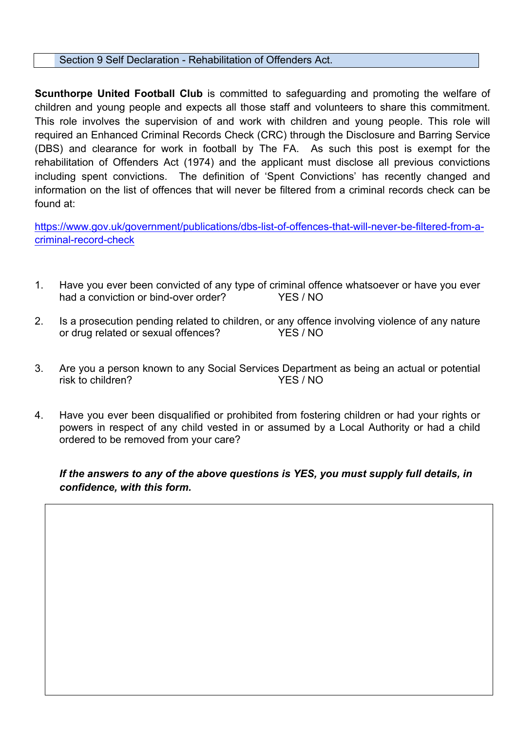Section 9 Self Declaration - Rehabilitation of Offenders Act.

**Scunthorpe United Football Club** is committed to safeguarding and promoting the welfare of children and young people and expects all those staff and volunteers to share this commitment. This role involves the supervision of and work with children and young people. This role will required an Enhanced Criminal Records Check (CRC) through the Disclosure and Barring Service (DBS) and clearance for work in football by The FA. As such this post is exempt for the rehabilitation of Offenders Act (1974) and the applicant must disclose all previous convictions including spent convictions. The definition of 'Spent Convictions' has recently changed and information on the list of offences that will never be filtered from a criminal records check can be found at:

https://www.gov.uk/government/publications/dbs-list-of-offences-that-will-never-be-filtered-from-acriminal-record-check

- 1. Have you ever been convicted of any type of criminal offence whatsoever or have you ever had a conviction or bind-over order? YES / NO
- 2. Is a prosecution pending related to children, or any offence involving violence of any nature or drug related or sexual offences? YES / NO
- 3. Are you a person known to any Social Services Department as being an actual or potential risk to children? YES / NO
- 4. Have you ever been disqualified or prohibited from fostering children or had your rights or powers in respect of any child vested in or assumed by a Local Authority or had a child ordered to be removed from your care?

*If the answers to any of the above questions is YES, you must supply full details, in confidence, with this form.*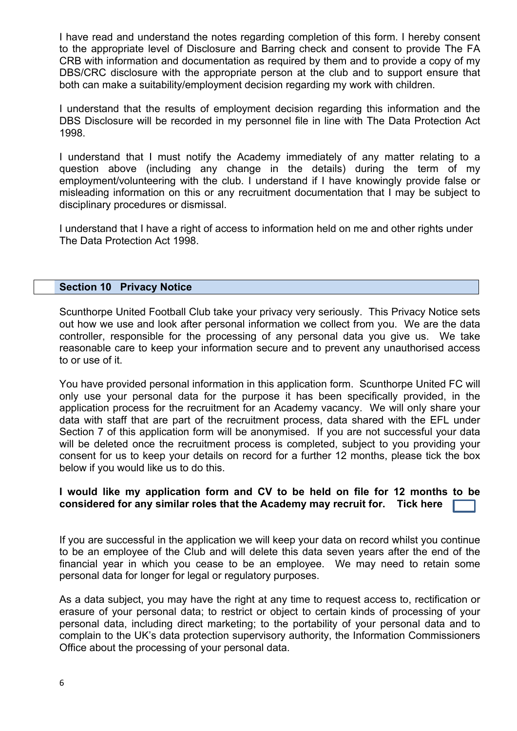I have read and understand the notes regarding completion of this form. I hereby consent to the appropriate level of Disclosure and Barring check and consent to provide The FA CRB with information and documentation as required by them and to provide a copy of my DBS/CRC disclosure with the appropriate person at the club and to support ensure that both can make a suitability/employment decision regarding my work with children.

I understand that the results of employment decision regarding this information and the DBS Disclosure will be recorded in my personnel file in line with The Data Protection Act 1998.

I understand that I must notify the Academy immediately of any matter relating to a question above (including any change in the details) during the term of my employment/volunteering with the club. I understand if I have knowingly provide false or misleading information on this or any recruitment documentation that I may be subject to disciplinary procedures or dismissal.

I understand that I have a right of access to information held on me and other rights under The Data Protection Act 1998.

## **Section 10 Privacy Notice**

Scunthorpe United Football Club take your privacy very seriously. This Privacy Notice sets out how we use and look after personal information we collect from you. We are the data controller, responsible for the processing of any personal data you give us. We take reasonable care to keep your information secure and to prevent any unauthorised access to or use of it.

You have provided personal information in this application form. Scunthorpe United FC will only use your personal data for the purpose it has been specifically provided, in the application process for the recruitment for an Academy vacancy. We will only share your data with staff that are part of the recruitment process, data shared with the EFL under Section 7 of this application form will be anonymised. If you are not successful your data will be deleted once the recruitment process is completed, subject to you providing your consent for us to keep your details on record for a further 12 months, please tick the box below if you would like us to do this.

## **I would like my application form and CV to be held on file for 12 months to be considered for any similar roles that the Academy may recruit for. Tick here**

If you are successful in the application we will keep your data on record whilst you continue to be an employee of the Club and will delete this data seven years after the end of the financial year in which you cease to be an employee. We may need to retain some personal data for longer for legal or regulatory purposes.

As a data subject, you may have the right at any time to request access to, rectification or erasure of your personal data; to restrict or object to certain kinds of processing of your personal data, including direct marketing; to the portability of your personal data and to complain to the UK's data protection supervisory authority, the Information Commissioners Office about the processing of your personal data.